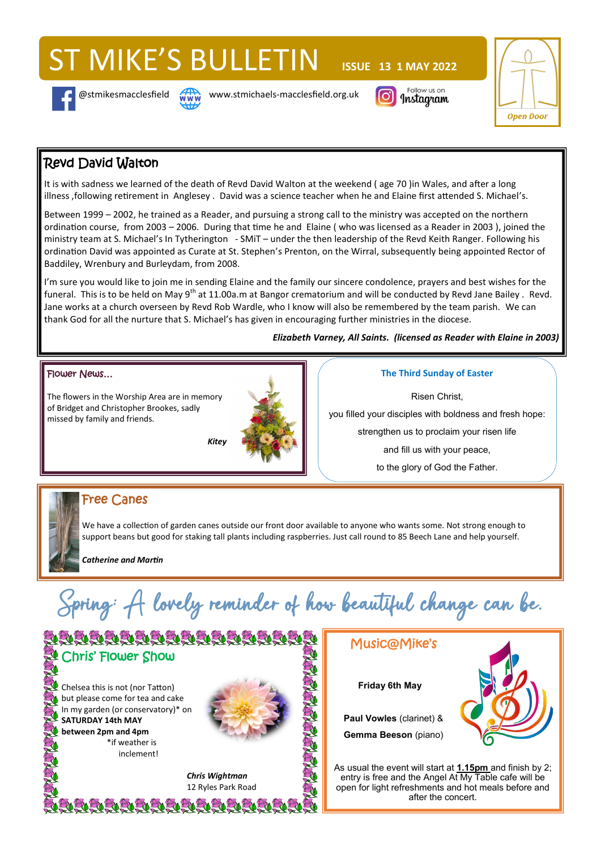# ST MIKE'S BULLETIN **ISSUE 13 1 MAY 2022**





@stmikesmacclesfield **www.stmichaels-macclesfield.org.uk** 





# Revd David Walton

It is with sadness we learned of the death of Revd David Walton at the weekend ( age 70 )in Wales, and after a long illness ,following retirement in Anglesey . David was a science teacher when he and Elaine first attended S. Michael's.

Between 1999 – 2002, he trained as a Reader, and pursuing a strong call to the ministry was accepted on the northern ordination course, from 2003 – 2006. During that time he and Elaine ( who was licensed as a Reader in 2003 ), joined the ministry team at S. Michael's In Tytherington - SMiT – under the then leadership of the Revd Keith Ranger. Following his ordination David was appointed as Curate at St. Stephen's Prenton, on the Wirral, subsequently being appointed Rector of Baddiley, Wrenbury and Burleydam, from 2008.

I'm sure you would like to join me in sending Elaine and the family our sincere condolence, prayers and best wishes for the funeral. This is to be held on May 9<sup>th</sup> at 11.00a.m at Bangor crematorium and will be conducted by Revd Jane Bailey. Revd. Jane works at a church overseen by Revd Rob Wardle, who I know will also be remembered by the team parish. We can thank God for all the nurture that S. Michael's has given in encouraging further ministries in the diocese.

*Elizabeth Varney, All Saints. (licensed as Reader with Elaine in 2003)* 

#### Flower News…

The flowers in the Worship Area are in memory of Bridget and Christopher Brookes, sadly missed by family and friends.



#### **The Third Sunday of Easter**

Risen Christ, you filled your disciples with boldness and fresh hope: strengthen us to proclaim your risen life and fill us with your peace, to the glory of God the Father.

## Free Canes

We have a collection of garden canes outside our front door available to anyone who wants some. Not strong enough to support beans but good for staking tall plants including raspberries. Just call round to 85 Beech Lane and help yourself.

*Catherine and Martin*

Spring; A lovely reminder of how beautiful change can be.



# Music@Mike's

**Friday 6th May**

**Paul Vowles** (clarinet) & **Gemma Beeson** (piano)



As usual the event will start at **1.15pm** and finish by 2; entry is free and the Angel At My Table cafe will be open for light refreshments and hot meals before and after the concert.